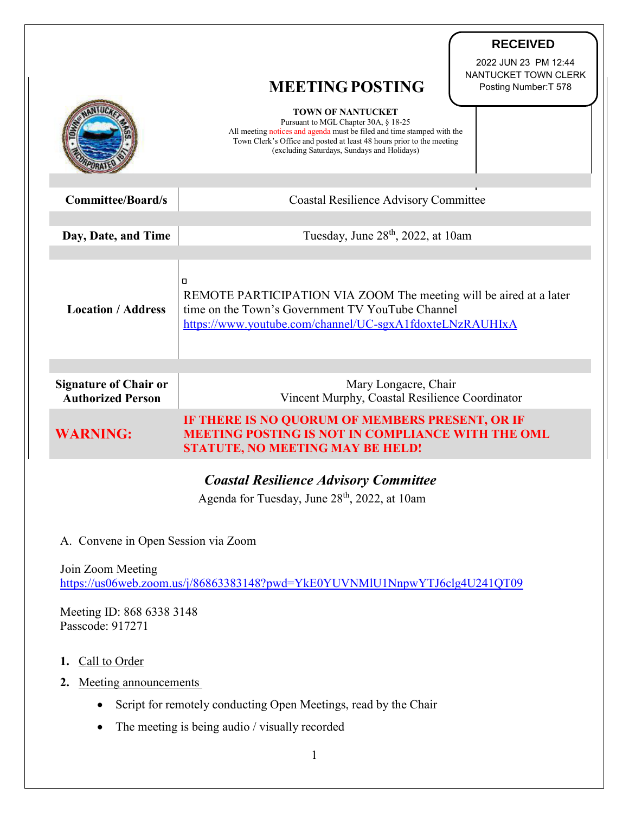|                                                          |                                                                                                                                                                                                                                                                    | <b>RECEIVED</b>                                                       |
|----------------------------------------------------------|--------------------------------------------------------------------------------------------------------------------------------------------------------------------------------------------------------------------------------------------------------------------|-----------------------------------------------------------------------|
|                                                          | <b>MEETING POSTING</b>                                                                                                                                                                                                                                             | 2022 JUN 23 PM 12:44<br>NANTUCKET TOWN CLERK<br>Posting Number: T 578 |
|                                                          | <b>TOWN OF NANTUCKET</b><br>Pursuant to MGL Chapter 30A, § 18-25<br>All meeting notices and agenda must be filed and time stamped with the<br>Town Clerk's Office and posted at least 48 hours prior to the meeting<br>(excluding Saturdays, Sundays and Holidays) |                                                                       |
| <b>Committee/Board/s</b>                                 | <b>Coastal Resilience Advisory Committee</b>                                                                                                                                                                                                                       |                                                                       |
| Day, Date, and Time                                      | Tuesday, June $28th$ , 2022, at 10am                                                                                                                                                                                                                               |                                                                       |
|                                                          |                                                                                                                                                                                                                                                                    |                                                                       |
| <b>Location / Address</b>                                | $\Box$<br>REMOTE PARTICIPATION VIA ZOOM The meeting will be aired at a later<br>time on the Town's Government TV YouTube Channel<br>https://www.youtube.com/channel/UC-sgxA1fdoxteLNzRAUHIxA                                                                       |                                                                       |
|                                                          |                                                                                                                                                                                                                                                                    |                                                                       |
| <b>Signature of Chair or</b><br><b>Authorized Person</b> | Mary Longacre, Chair<br>Vincent Murphy, Coastal Resilience Coordinator                                                                                                                                                                                             |                                                                       |
| <b>WARNING:</b>                                          | IF THERE IS NO QUORUM OF MEMBERS PRESENT, OR IF<br><b>MEETING POSTING IS NOT IN COMPLIANCE WITH THE OML</b><br><b>STATUTE, NO MEETING MAY BE HELD!</b>                                                                                                             |                                                                       |
|                                                          |                                                                                                                                                                                                                                                                    |                                                                       |

## *Coastal Resilience Advisory Committee*

Agenda for Tuesday, June 28<sup>th</sup>, 2022, at 10am

A. Convene in Open Session via Zoom

Join Zoom Meeting <https://us06web.zoom.us/j/86863383148?pwd=YkE0YUVNMlU1NnpwYTJ6clg4U241QT09>

Meeting ID: 868 6338 3148 Passcode: 917271

- **1.** Call to Order
- **2.** Meeting announcements
	- Script for remotely conducting Open Meetings, read by the Chair
	- The meeting is being audio / visually recorded